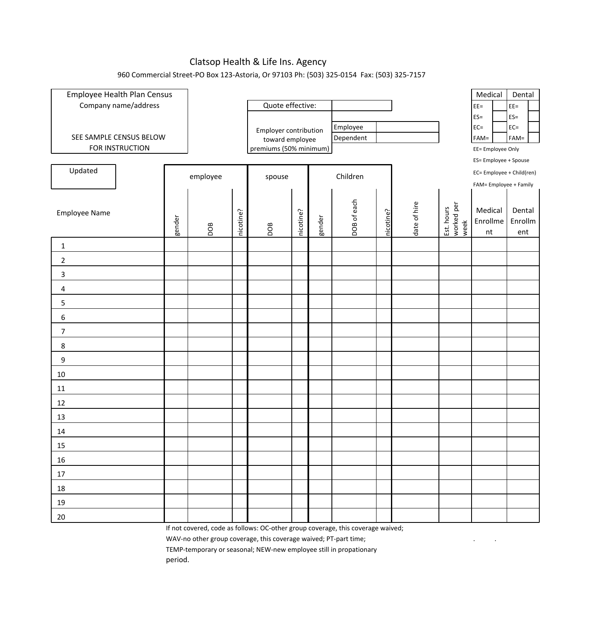## Clatsop Health & Life Ins. Agency

## 960 Commercial Street-PO Box 123-Astoria, Or 97103 Ph: (503) 325-0154 Fax: (503) 325-7157

| Employee Health Plan Census |        |                                           |           |                       |           |        |                                                                               |           |                   |                                  | Medical                   | Dental                   |
|-----------------------------|--------|-------------------------------------------|-----------|-----------------------|-----------|--------|-------------------------------------------------------------------------------|-----------|-------------------|----------------------------------|---------------------------|--------------------------|
| Company name/address        |        |                                           |           | Quote effective:      |           |        |                                                                               |           |                   |                                  | $EE =$                    | $EE =$                   |
|                             |        |                                           |           |                       |           |        |                                                                               |           |                   |                                  | $ES =$<br>$EC =$          | $ES =$                   |
| SEE SAMPLE CENSUS BELOW     |        |                                           |           | Employer contribution |           |        | Employee<br>Dependent                                                         |           |                   |                                  | $FAM =$                   | $EC =$<br>$FAM =$        |
| FOR INSTRUCTION             |        | toward employee<br>premiums (50% minimum) |           |                       |           |        |                                                                               |           | EE= Employee Only |                                  |                           |                          |
|                             |        |                                           |           |                       |           |        |                                                                               |           |                   |                                  | ES= Employee + Spouse     |                          |
| Updated                     |        | employee                                  |           | spouse                |           |        | Children                                                                      |           |                   |                                  | EC= Employee + Child(ren) |                          |
|                             |        |                                           |           |                       |           |        |                                                                               |           |                   |                                  | FAM= Employee + Family    |                          |
| Employee Name               | gender | DOB                                       | nicotine? | DOB                   | nicotine? | gender | DOB of each                                                                   | nicotine? | date of hire      | worked per<br>week<br>Est. hours | Medical<br>Enrollme<br>nt | Dental<br>Enrollm<br>ent |
| $\mathbf 1$                 |        |                                           |           |                       |           |        |                                                                               |           |                   |                                  |                           |                          |
| $\overline{2}$              |        |                                           |           |                       |           |        |                                                                               |           |                   |                                  |                           |                          |
| 3                           |        |                                           |           |                       |           |        |                                                                               |           |                   |                                  |                           |                          |
| $\sqrt{4}$                  |        |                                           |           |                       |           |        |                                                                               |           |                   |                                  |                           |                          |
| 5                           |        |                                           |           |                       |           |        |                                                                               |           |                   |                                  |                           |                          |
| 6                           |        |                                           |           |                       |           |        |                                                                               |           |                   |                                  |                           |                          |
| $\overline{7}$              |        |                                           |           |                       |           |        |                                                                               |           |                   |                                  |                           |                          |
| $\bf 8$                     |        |                                           |           |                       |           |        |                                                                               |           |                   |                                  |                           |                          |
| 9                           |        |                                           |           |                       |           |        |                                                                               |           |                   |                                  |                           |                          |
| 10                          |        |                                           |           |                       |           |        |                                                                               |           |                   |                                  |                           |                          |
| 11                          |        |                                           |           |                       |           |        |                                                                               |           |                   |                                  |                           |                          |
| 12                          |        |                                           |           |                       |           |        |                                                                               |           |                   |                                  |                           |                          |
| 13                          |        |                                           |           |                       |           |        |                                                                               |           |                   |                                  |                           |                          |
| 14                          |        |                                           |           |                       |           |        |                                                                               |           |                   |                                  |                           |                          |
| 15                          |        |                                           |           |                       |           |        |                                                                               |           |                   |                                  |                           |                          |
| 16                          |        |                                           |           |                       |           |        |                                                                               |           |                   |                                  |                           |                          |
| 17                          |        |                                           |           |                       |           |        |                                                                               |           |                   |                                  |                           |                          |
| 18                          |        |                                           |           |                       |           |        |                                                                               |           |                   |                                  |                           |                          |
| 19                          |        |                                           |           |                       |           |        |                                                                               |           |                   |                                  |                           |                          |
| 20                          |        |                                           |           |                       |           |        | If not covered eagle as follows: OC other group coverage this coverage waived |           |                   |                                  |                           |                          |

If not covered, code as follows: OC-other group coverage, this coverage waived;

WAV-no other group coverage, this coverage waived; PT-part time; . .

TEMP-temporary or seasonal; NEW-new employee still in propationary

period.